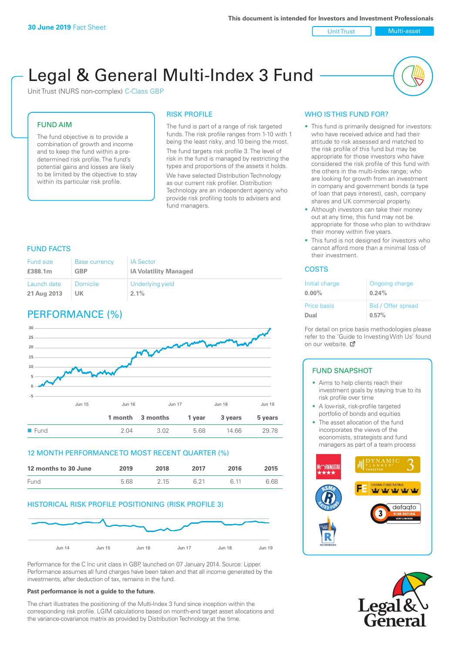Unit Trust Multi-asset

# Legal & General Multi-Index 3 Fund

Unit Trust (NURS non-complex) C-Class GBP

#### FUND AIM

The fund objective is to provide a combination of growth and income and to keep the fund within a predetermined risk profile. The fund's potential gains and losses are likely to be limited by the objective to stay within its particular risk profile.

#### RISK PROFILE

The fund is part of a range of risk targeted funds. The risk profile ranges from 1-10 with 1 being the least risky, and 10 being the most. The fund targets risk profile 3. The level of risk in the fund is managed by restricting the types and proportions of the assets it holds. We have selected Distribution Technology as our current risk profiler. Distribution Technology are an independent agency who provide risk profiling tools to advisers and fund managers.

#### FUND FACTS

| Fund size   | <b>Base currency</b> | <b>IA Sector</b>             |
|-------------|----------------------|------------------------------|
| £388.1m     | GBP                  | <b>IA Volatility Managed</b> |
| Launch date | Domicile             | Underlying yield             |
| 21 Aug 2013 | UK.                  | $2.1\%$                      |

# PERFORMANCE (%)



#### 12 MONTH PERFORMANCE TO MOST RECENT QUARTER (%)

| 12 months to 30 June | 2019 | 2018 | 2017 | 2016 | 2015 |
|----------------------|------|------|------|------|------|
| <b>Fund</b>          | 5.68 | 2 15 | 6 21 | G 11 | 6.68 |

#### HISTORICAL RISK PROFILE POSITIONING (RISK PROFILE 3)



Performance for the C Inc unit class in GBP, launched on 07 January 2014. Source: Lipper. Performance assumes all fund charges have been taken and that all income generated by the investments, after deduction of tax, remains in the fund.

#### **Past performance is not a guide to the future.**

The chart illustrates the positioning of the Multi-Index 3 fund since inception within the corresponding risk profile. LGIM calculations based on month-end target asset allocations and the variance-covariance matrix as provided by Distribution Technology at the time.

#### WHO IS THIS FUND FOR?

- This fund is primarily designed for investors: who have received advice and had their attitude to risk assessed and matched to the risk profile of this fund but may be appropriate for those investors who have considered the risk profile of this fund with the others in the multi-Index range; who are looking for growth from an investment in company and government bonds (a type of loan that pays interest), cash, company shares and UK commercial property.
- Although investors can take their money out at any time, this fund may not be appropriate for those who plan to withdraw their money within five years.
- This fund is not designed for investors who cannot afford more than a minimal loss of their investment.

#### COSTS

| Initial charge | Ongoing charge     |
|----------------|--------------------|
| $0.00\%$       | 0.24%              |
| Price basis    | Bid / Offer spread |
| Dual           | 0.57%              |

For detail on price basis methodologies please refer to the 'Guide to Investing With Us' found on our website. Ø

#### FUND SNAPSHOT

- Aims to help clients reach their investment goals by staying true to its risk profile over time
- A low-risk, risk-profile targeted portfolio of bonds and equities
- The asset allocation of the fund incorporates the views of the economists, strategists and fund managers as part of a team process



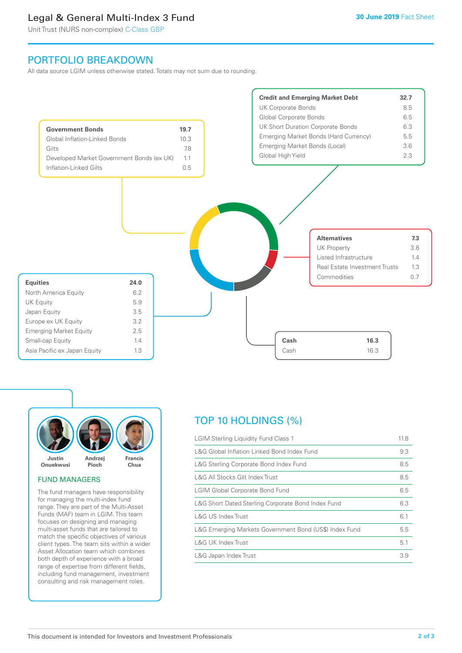# Legal & General Multi-Index 3 Fund

Unit Trust (NURS non-complex) C-Class GBP

## PORTFOLIO BREAKDOWN

All data source LGIM unless otherwise stated. Totals may not sum due to rounding.





#### FUND MANAGERS

The fund managers have responsibility for managing the multi-index fund range. They are part of the Multi-Asset Funds (MAF) team in LGIM. This team focuses on designing and managing multi-asset funds that are tailored to match the specific objectives of various client types. The team sits within a wider Asset Allocation team which combines both depth of experience with a broad range of expertise from different fields, including fund management, investment consulting and risk management roles.

# TOP 10 HOLDINGS (%)

| <b>LGIM Sterling Liquidity Fund Class 1</b>            | 11.8 |
|--------------------------------------------------------|------|
| L&G Global Inflation Linked Bond Index Fund            | 9.3  |
| L&G Sterling Corporate Bond Index Fund                 | 8.5  |
| L&G All Stocks Gilt Index Trust                        | 8.5  |
| <b>LGIM Global Corporate Bond Fund</b>                 | 6.5  |
| L&G Short Dated Sterling Corporate Bond Index Fund     | 6.3  |
| <b>L&amp;G US Index Trust</b>                          | 6.1  |
| L&G Emerging Markets Government Bond (US\$) Index Fund | 5.5  |
| <b>L&amp;G UK Index Trust</b>                          | 5.1  |
| L&G Japan Index Trust                                  | 3.9  |